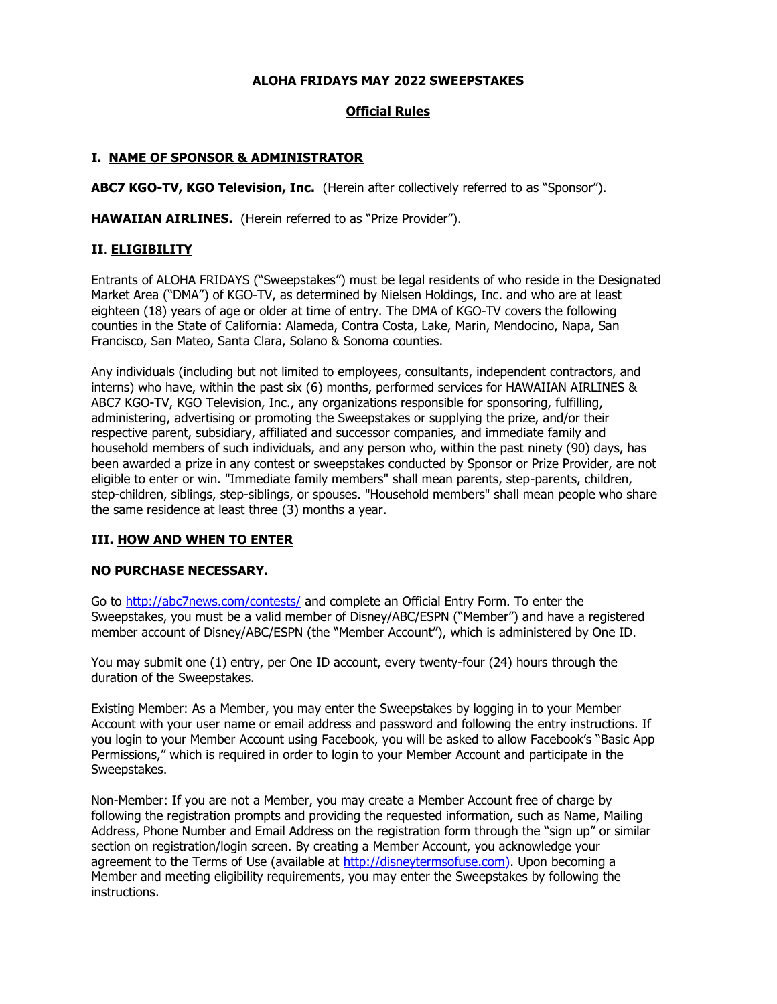### **ALOHA FRIDAYS MAY 2022 SWEEPSTAKES**

# **Official Rules**

## **I. NAME OF SPONSOR & ADMINISTRATOR**

**ABC7 KGO-TV, KGO Television, Inc.** (Herein after collectively referred to as "Sponsor").

**HAWAIIAN AIRLINES.** (Herein referred to as "Prize Provider").

#### **II**. **ELIGIBILITY**

Entrants of ALOHA FRIDAYS ("Sweepstakes") must be legal residents of who reside in the Designated Market Area ("DMA") of KGO-TV, as determined by Nielsen Holdings, Inc. and who are at least eighteen (18) years of age or older at time of entry. The DMA of KGO-TV covers the following counties in the State of California: Alameda, Contra Costa, Lake, Marin, Mendocino, Napa, San Francisco, San Mateo, Santa Clara, Solano & Sonoma counties.

Any individuals (including but not limited to employees, consultants, independent contractors, and interns) who have, within the past six (6) months, performed services for HAWAIIAN AIRLINES & ABC7 KGO-TV, KGO Television, Inc., any organizations responsible for sponsoring, fulfilling, administering, advertising or promoting the Sweepstakes or supplying the prize, and/or their respective parent, subsidiary, affiliated and successor companies, and immediate family and household members of such individuals, and any person who, within the past ninety (90) days, has been awarded a prize in any contest or sweepstakes conducted by Sponsor or Prize Provider, are not eligible to enter or win. "Immediate family members" shall mean parents, step-parents, children, step-children, siblings, step-siblings, or spouses. "Household members" shall mean people who share the same residence at least three (3) months a year.

#### **III. HOW AND WHEN TO ENTER**

#### **NO PURCHASE NECESSARY.**

Go to<http://abc7news.com/contests/> and complete an Official Entry Form. To enter the Sweepstakes, you must be a valid member of Disney/ABC/ESPN ("Member") and have a registered member account of Disney/ABC/ESPN (the "Member Account"), which is administered by One ID.

You may submit one (1) entry, per One ID account, every twenty-four (24) hours through the duration of the Sweepstakes.

Existing Member: As a Member, you may enter the Sweepstakes by logging in to your Member Account with your user name or email address and password and following the entry instructions. If you login to your Member Account using Facebook, you will be asked to allow Facebook's "Basic App Permissions," which is required in order to login to your Member Account and participate in the Sweepstakes.

Non-Member: If you are not a Member, you may create a Member Account free of charge by following the registration prompts and providing the requested information, such as Name, Mailing Address, Phone Number and Email Address on the registration form through the "sign up" or similar section on registration/login screen. By creating a Member Account, you acknowledge your agreement to the Terms of Use (available at [http://disneytermsofuse.com\)](http://disneytermsofuse.com/). Upon becoming a Member and meeting eligibility requirements, you may enter the Sweepstakes by following the instructions.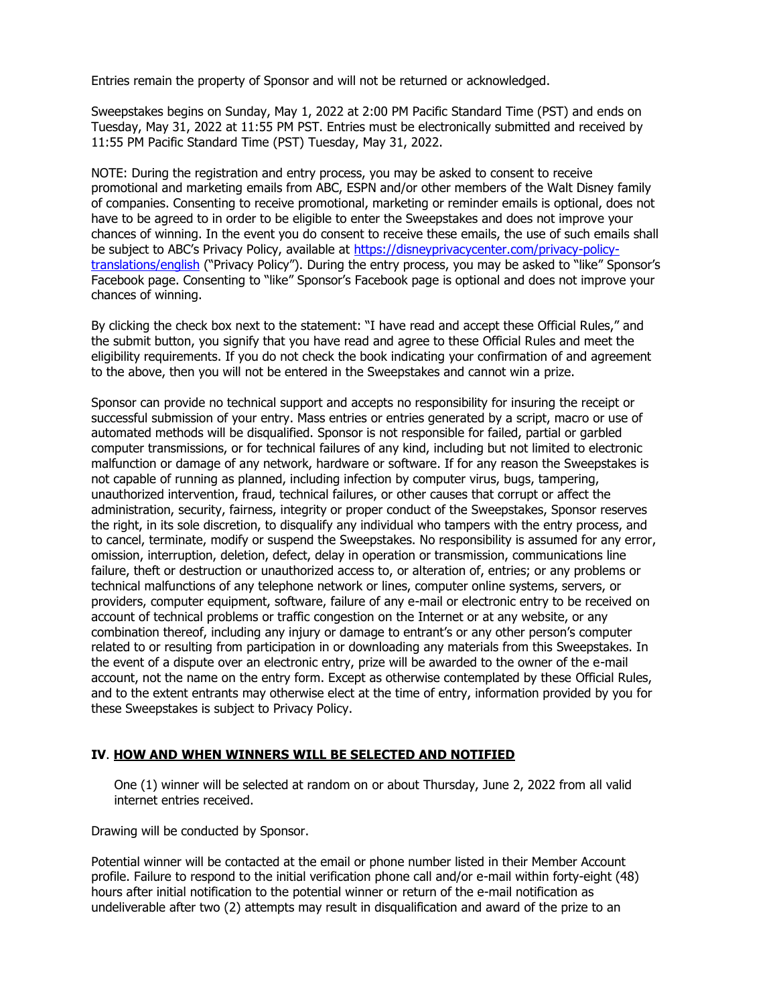Entries remain the property of Sponsor and will not be returned or acknowledged.

Sweepstakes begins on Sunday, May 1, 2022 at 2:00 PM Pacific Standard Time (PST) and ends on Tuesday, May 31, 2022 at 11:55 PM PST. Entries must be electronically submitted and received by 11:55 PM Pacific Standard Time (PST) Tuesday, May 31, 2022.

NOTE: During the registration and entry process, you may be asked to consent to receive promotional and marketing emails from ABC, ESPN and/or other members of the Walt Disney family of companies. Consenting to receive promotional, marketing or reminder emails is optional, does not have to be agreed to in order to be eligible to enter the Sweepstakes and does not improve your chances of winning. In the event you do consent to receive these emails, the use of such emails shall be subject to ABC's Privacy Policy, available at [https://disneyprivacycenter.com/privacy-policy](https://disneyprivacycenter.com/privacy-policy-translations/english)[translations/english](https://disneyprivacycenter.com/privacy-policy-translations/english) ("Privacy Policy"). During the entry process, you may be asked to "like" Sponsor's Facebook page. Consenting to "like" Sponsor's Facebook page is optional and does not improve your chances of winning.

By clicking the check box next to the statement: "I have read and accept these Official Rules," and the submit button, you signify that you have read and agree to these Official Rules and meet the eligibility requirements. If you do not check the book indicating your confirmation of and agreement to the above, then you will not be entered in the Sweepstakes and cannot win a prize.

Sponsor can provide no technical support and accepts no responsibility for insuring the receipt or successful submission of your entry. Mass entries or entries generated by a script, macro or use of automated methods will be disqualified. Sponsor is not responsible for failed, partial or garbled computer transmissions, or for technical failures of any kind, including but not limited to electronic malfunction or damage of any network, hardware or software. If for any reason the Sweepstakes is not capable of running as planned, including infection by computer virus, bugs, tampering, unauthorized intervention, fraud, technical failures, or other causes that corrupt or affect the administration, security, fairness, integrity or proper conduct of the Sweepstakes, Sponsor reserves the right, in its sole discretion, to disqualify any individual who tampers with the entry process, and to cancel, terminate, modify or suspend the Sweepstakes. No responsibility is assumed for any error, omission, interruption, deletion, defect, delay in operation or transmission, communications line failure, theft or destruction or unauthorized access to, or alteration of, entries; or any problems or technical malfunctions of any telephone network or lines, computer online systems, servers, or providers, computer equipment, software, failure of any e-mail or electronic entry to be received on account of technical problems or traffic congestion on the Internet or at any website, or any combination thereof, including any injury or damage to entrant's or any other person's computer related to or resulting from participation in or downloading any materials from this Sweepstakes. In the event of a dispute over an electronic entry, prize will be awarded to the owner of the e-mail account, not the name on the entry form. Except as otherwise contemplated by these Official Rules, and to the extent entrants may otherwise elect at the time of entry, information provided by you for these Sweepstakes is subject to Privacy Policy.

#### **IV**. **HOW AND WHEN WINNERS WILL BE SELECTED AND NOTIFIED**

One (1) winner will be selected at random on or about Thursday, June 2, 2022 from all valid internet entries received.

Drawing will be conducted by Sponsor.

Potential winner will be contacted at the email or phone number listed in their Member Account profile. Failure to respond to the initial verification phone call and/or e-mail within forty-eight (48) hours after initial notification to the potential winner or return of the e-mail notification as undeliverable after two (2) attempts may result in disqualification and award of the prize to an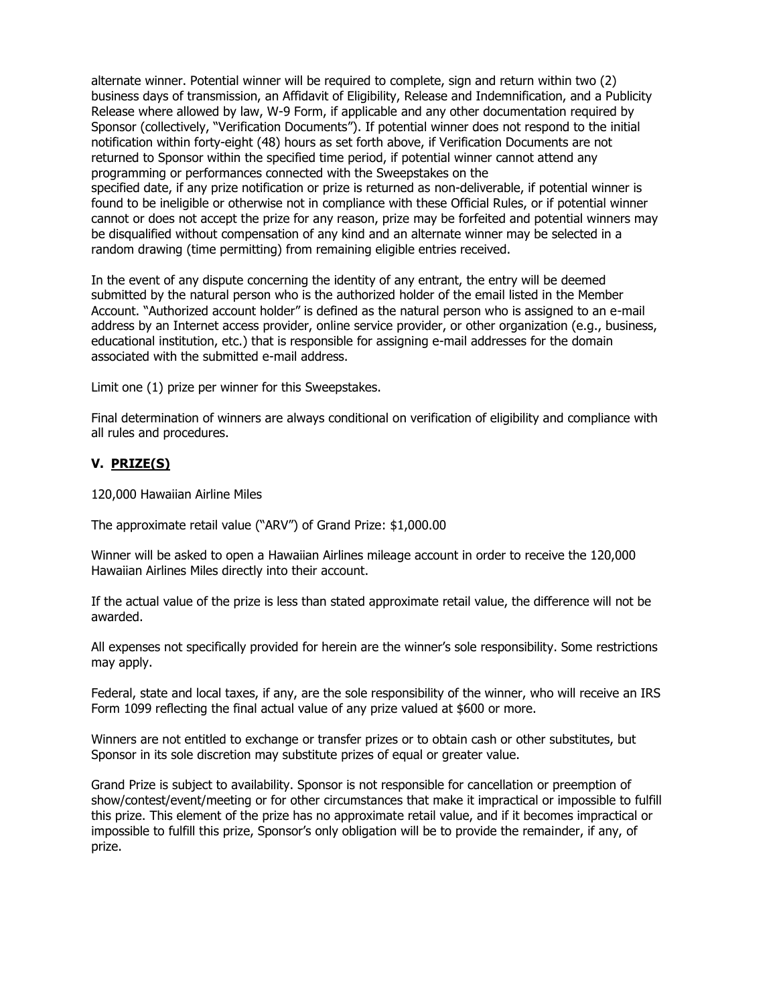alternate winner. Potential winner will be required to complete, sign and return within two (2) business days of transmission, an Affidavit of Eligibility, Release and Indemnification, and a Publicity Release where allowed by law, W-9 Form, if applicable and any other documentation required by Sponsor (collectively, "Verification Documents"). If potential winner does not respond to the initial notification within forty-eight (48) hours as set forth above, if Verification Documents are not returned to Sponsor within the specified time period, if potential winner cannot attend any programming or performances connected with the Sweepstakes on the specified date, if any prize notification or prize is returned as non-deliverable, if potential winner is found to be ineligible or otherwise not in compliance with these Official Rules, or if potential winner cannot or does not accept the prize for any reason, prize may be forfeited and potential winners may be disqualified without compensation of any kind and an alternate winner may be selected in a random drawing (time permitting) from remaining eligible entries received.

In the event of any dispute concerning the identity of any entrant, the entry will be deemed submitted by the natural person who is the authorized holder of the email listed in the Member Account. "Authorized account holder" is defined as the natural person who is assigned to an e-mail address by an Internet access provider, online service provider, or other organization (e.g., business, educational institution, etc.) that is responsible for assigning e-mail addresses for the domain associated with the submitted e-mail address.

Limit one (1) prize per winner for this Sweepstakes.

Final determination of winners are always conditional on verification of eligibility and compliance with all rules and procedures.

## **V. PRIZE(S)**

120,000 Hawaiian Airline Miles

The approximate retail value ("ARV") of Grand Prize: \$1,000.00

Winner will be asked to open a Hawaiian Airlines mileage account in order to receive the 120,000 Hawaiian Airlines Miles directly into their account.

If the actual value of the prize is less than stated approximate retail value, the difference will not be awarded.

All expenses not specifically provided for herein are the winner's sole responsibility. Some restrictions may apply.

Federal, state and local taxes, if any, are the sole responsibility of the winner, who will receive an IRS Form 1099 reflecting the final actual value of any prize valued at \$600 or more.

Winners are not entitled to exchange or transfer prizes or to obtain cash or other substitutes, but Sponsor in its sole discretion may substitute prizes of equal or greater value.

Grand Prize is subject to availability. Sponsor is not responsible for cancellation or preemption of show/contest/event/meeting or for other circumstances that make it impractical or impossible to fulfill this prize. This element of the prize has no approximate retail value, and if it becomes impractical or impossible to fulfill this prize, Sponsor's only obligation will be to provide the remainder, if any, of prize.